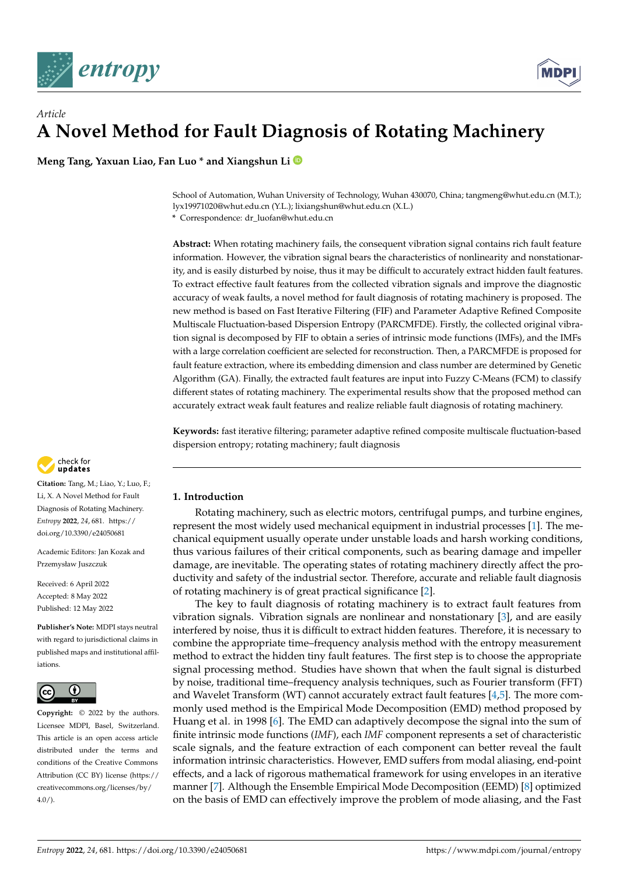



# *Article* **A Novel Method for Fault Diagnosis of Rotating Machinery**

**Meng Tang, Yaxuan Liao, Fan Luo \* and Xiangshun Li**

School of Automation, Wuhan University of Technology, Wuhan 430070, China; tangmeng@whut.edu.cn (M.T.); lyx19971020@whut.edu.cn (Y.L.); lixiangshun@whut.edu.cn (X.L.)

**\*** Correspondence: dr\_luofan@whut.edu.cn

**Abstract:** When rotating machinery fails, the consequent vibration signal contains rich fault feature information. However, the vibration signal bears the characteristics of nonlinearity and nonstationarity, and is easily disturbed by noise, thus it may be difficult to accurately extract hidden fault features. To extract effective fault features from the collected vibration signals and improve the diagnostic accuracy of weak faults, a novel method for fault diagnosis of rotating machinery is proposed. The new method is based on Fast Iterative Filtering (FIF) and Parameter Adaptive Refined Composite Multiscale Fluctuation-based Dispersion Entropy (PARCMFDE). Firstly, the collected original vibration signal is decomposed by FIF to obtain a series of intrinsic mode functions (IMFs), and the IMFs with a large correlation coefficient are selected for reconstruction. Then, a PARCMFDE is proposed for fault feature extraction, where its embedding dimension and class number are determined by Genetic Algorithm (GA). Finally, the extracted fault features are input into Fuzzy C-Means (FCM) to classify different states of rotating machinery. The experimental results show that the proposed method can accurately extract weak fault features and realize reliable fault diagnosis of rotating machinery.

**Keywords:** fast iterative filtering; parameter adaptive refined composite multiscale fluctuation-based dispersion entropy; rotating machinery; fault diagnosis



Rotating machinery, such as electric motors, centrifugal pumps, and turbine engines, represent the most widely used mechanical equipment in industrial processes [\[1\]](#page-21-0). The mechanical equipment usually operate under unstable loads and harsh working conditions, thus various failures of their critical components, such as bearing damage and impeller damage, are inevitable. The operating states of rotating machinery directly affect the productivity and safety of the industrial sector. Therefore, accurate and reliable fault diagnosis of rotating machinery is of great practical significance [\[2\]](#page-21-1).

The key to fault diagnosis of rotating machinery is to extract fault features from vibration signals. Vibration signals are nonlinear and nonstationary [\[3\]](#page-21-2), and are easily interfered by noise, thus it is difficult to extract hidden features. Therefore, it is necessary to combine the appropriate time–frequency analysis method with the entropy measurement method to extract the hidden tiny fault features. The first step is to choose the appropriate signal processing method. Studies have shown that when the fault signal is disturbed by noise, traditional time–frequency analysis techniques, such as Fourier transform (FFT) and Wavelet Transform (WT) cannot accurately extract fault features [\[4,](#page-21-3)[5\]](#page-21-4). The more commonly used method is the Empirical Mode Decomposition (EMD) method proposed by Huang et al. in 1998 [\[6\]](#page-21-5). The EMD can adaptively decompose the signal into the sum of finite intrinsic mode functions (*IMF*), each *IMF* component represents a set of characteristic scale signals, and the feature extraction of each component can better reveal the fault information intrinsic characteristics. However, EMD suffers from modal aliasing, end-point effects, and a lack of rigorous mathematical framework for using envelopes in an iterative manner [\[7\]](#page-21-6). Although the Ensemble Empirical Mode Decomposition (EEMD) [\[8\]](#page-21-7) optimized on the basis of EMD can effectively improve the problem of mode aliasing, and the Fast



**Citation:** Tang, M.; Liao, Y.; Luo, F.; Li, X. A Novel Method for Fault Diagnosis of Rotating Machinery. *Entropy* **2022**, *24*, 681. [https://](https://doi.org/10.3390/e24050681) [doi.org/10.3390/e24050681](https://doi.org/10.3390/e24050681)

Academic Editors: Jan Kozak and Przemysław Juszczuk

Received: 6 April 2022 Accepted: 8 May 2022 Published: 12 May 2022

**Publisher's Note:** MDPI stays neutral with regard to jurisdictional claims in published maps and institutional affiliations.



**Copyright:** © 2022 by the authors. Licensee MDPI, Basel, Switzerland. This article is an open access article distributed under the terms and conditions of the Creative Commons Attribution (CC BY) license [\(https://](https://creativecommons.org/licenses/by/4.0/) [creativecommons.org/licenses/by/](https://creativecommons.org/licenses/by/4.0/)  $4.0/$ ).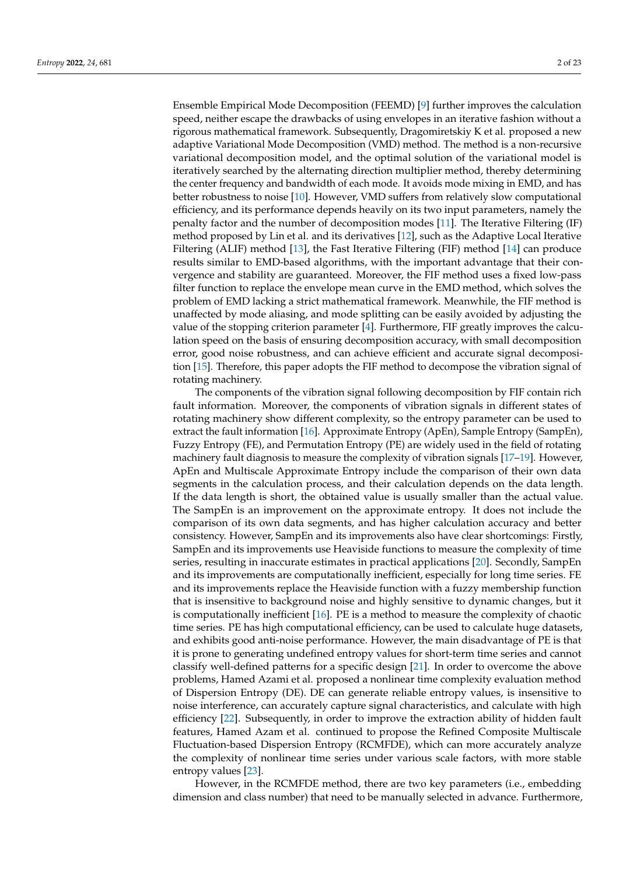Ensemble Empirical Mode Decomposition (FEEMD) [\[9\]](#page-21-8) further improves the calculation speed, neither escape the drawbacks of using envelopes in an iterative fashion without a rigorous mathematical framework. Subsequently, Dragomiretskiy K et al. proposed a new adaptive Variational Mode Decomposition (VMD) method. The method is a non-recursive variational decomposition model, and the optimal solution of the variational model is iteratively searched by the alternating direction multiplier method, thereby determining the center frequency and bandwidth of each mode. It avoids mode mixing in EMD, and has better robustness to noise [\[10\]](#page-22-0). However, VMD suffers from relatively slow computational efficiency, and its performance depends heavily on its two input parameters, namely the penalty factor and the number of decomposition modes [\[11\]](#page-22-1). The Iterative Filtering (IF) method proposed by Lin et al. and its derivatives [\[12\]](#page-22-2), such as the Adaptive Local Iterative Filtering (ALIF) method [\[13\]](#page-22-3), the Fast Iterative Filtering (FIF) method [\[14\]](#page-22-4) can produce results similar to EMD-based algorithms, with the important advantage that their convergence and stability are guaranteed. Moreover, the FIF method uses a fixed low-pass filter function to replace the envelope mean curve in the EMD method, which solves the problem of EMD lacking a strict mathematical framework. Meanwhile, the FIF method is unaffected by mode aliasing, and mode splitting can be easily avoided by adjusting the value of the stopping criterion parameter [\[4\]](#page-21-3). Furthermore, FIF greatly improves the calculation speed on the basis of ensuring decomposition accuracy, with small decomposition error, good noise robustness, and can achieve efficient and accurate signal decomposition [\[15\]](#page-22-5). Therefore, this paper adopts the FIF method to decompose the vibration signal of rotating machinery.

The components of the vibration signal following decomposition by FIF contain rich fault information. Moreover, the components of vibration signals in different states of rotating machinery show different complexity, so the entropy parameter can be used to extract the fault information [\[16\]](#page-22-6). Approximate Entropy (ApEn), Sample Entropy (SampEn), Fuzzy Entropy (FE), and Permutation Entropy (PE) are widely used in the field of rotating machinery fault diagnosis to measure the complexity of vibration signals [\[17–](#page-22-7)[19\]](#page-22-8). However, ApEn and Multiscale Approximate Entropy include the comparison of their own data segments in the calculation process, and their calculation depends on the data length. If the data length is short, the obtained value is usually smaller than the actual value. The SampEn is an improvement on the approximate entropy. It does not include the comparison of its own data segments, and has higher calculation accuracy and better consistency. However, SampEn and its improvements also have clear shortcomings: Firstly, SampEn and its improvements use Heaviside functions to measure the complexity of time series, resulting in inaccurate estimates in practical applications [\[20\]](#page-22-9). Secondly, SampEn and its improvements are computationally inefficient, especially for long time series. FE and its improvements replace the Heaviside function with a fuzzy membership function that is insensitive to background noise and highly sensitive to dynamic changes, but it is computationally inefficient [\[16\]](#page-22-6). PE is a method to measure the complexity of chaotic time series. PE has high computational efficiency, can be used to calculate huge datasets, and exhibits good anti-noise performance. However, the main disadvantage of PE is that it is prone to generating undefined entropy values for short-term time series and cannot classify well-defined patterns for a specific design [\[21\]](#page-22-10). In order to overcome the above problems, Hamed Azami et al. proposed a nonlinear time complexity evaluation method of Dispersion Entropy (DE). DE can generate reliable entropy values, is insensitive to noise interference, can accurately capture signal characteristics, and calculate with high efficiency [\[22\]](#page-22-11). Subsequently, in order to improve the extraction ability of hidden fault features, Hamed Azam et al. continued to propose the Refined Composite Multiscale Fluctuation-based Dispersion Entropy (RCMFDE), which can more accurately analyze the complexity of nonlinear time series under various scale factors, with more stable entropy values [\[23\]](#page-22-12).

However, in the RCMFDE method, there are two key parameters (i.e., embedding dimension and class number) that need to be manually selected in advance. Furthermore,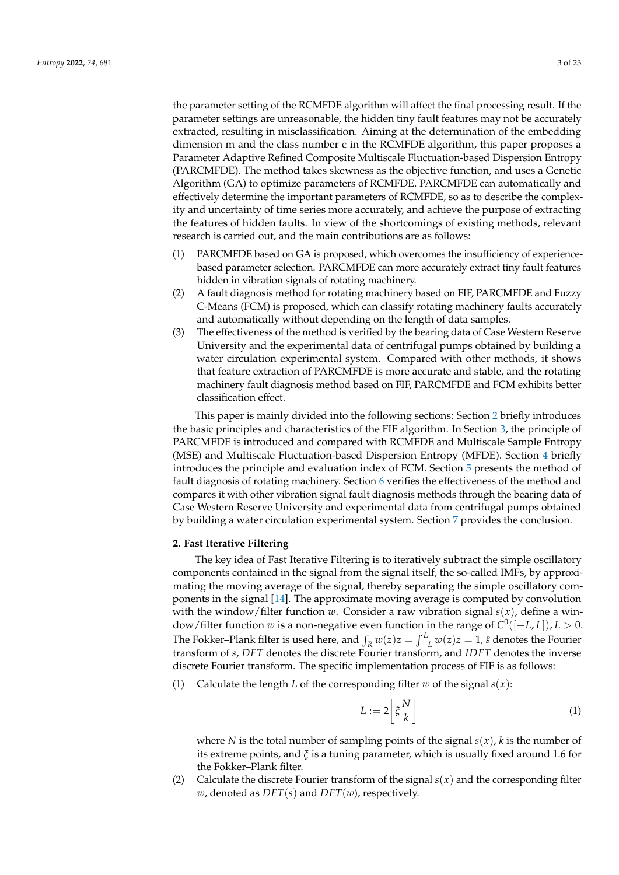the parameter setting of the RCMFDE algorithm will affect the final processing result. If the parameter settings are unreasonable, the hidden tiny fault features may not be accurately extracted, resulting in misclassification. Aiming at the determination of the embedding dimension m and the class number c in the RCMFDE algorithm, this paper proposes a Parameter Adaptive Refined Composite Multiscale Fluctuation-based Dispersion Entropy (PARCMFDE). The method takes skewness as the objective function, and uses a Genetic Algorithm (GA) to optimize parameters of RCMFDE. PARCMFDE can automatically and effectively determine the important parameters of RCMFDE, so as to describe the complexity and uncertainty of time series more accurately, and achieve the purpose of extracting the features of hidden faults. In view of the shortcomings of existing methods, relevant research is carried out, and the main contributions are as follows:

- (1) PARCMFDE based on GA is proposed, which overcomes the insufficiency of experiencebased parameter selection. PARCMFDE can more accurately extract tiny fault features hidden in vibration signals of rotating machinery.
- (2) A fault diagnosis method for rotating machinery based on FIF, PARCMFDE and Fuzzy C-Means (FCM) is proposed, which can classify rotating machinery faults accurately and automatically without depending on the length of data samples.
- (3) The effectiveness of the method is verified by the bearing data of Case Western Reserve University and the experimental data of centrifugal pumps obtained by building a water circulation experimental system. Compared with other methods, it shows that feature extraction of PARCMFDE is more accurate and stable, and the rotating machinery fault diagnosis method based on FIF, PARCMFDE and FCM exhibits better classification effect.

This paper is mainly divided into the following sections: Section [2](#page-2-0) briefly introduces the basic principles and characteristics of the FIF algorithm. In Section [3,](#page-3-0) the principle of PARCMFDE is introduced and compared with RCMFDE and Multiscale Sample Entropy (MSE) and Multiscale Fluctuation-based Dispersion Entropy (MFDE). Section [4](#page-7-0) briefly introduces the principle and evaluation index of FCM. Section [5](#page-8-0) presents the method of fault diagnosis of rotating machinery. Section [6](#page-9-0) verifies the effectiveness of the method and compares it with other vibration signal fault diagnosis methods through the bearing data of Case Western Reserve University and experimental data from centrifugal pumps obtained by building a water circulation experimental system. Section [7](#page-21-9) provides the conclusion.

## <span id="page-2-0"></span>**2. Fast Iterative Filtering**

The key idea of Fast Iterative Filtering is to iteratively subtract the simple oscillatory components contained in the signal from the signal itself, the so-called IMFs, by approximating the moving average of the signal, thereby separating the simple oscillatory components in the signal [\[14\]](#page-22-4). The approximate moving average is computed by convolution with the window/filter function *w*. Consider a raw vibration signal  $s(x)$ , define a window/filter function *w* is a non-negative even function in the range of *C* 0 ([−*L*, *L*]), *L* > 0. The Fokker–Plank filter is used here, and  $\int_R w(z)z = \int_{-L}^L w(z)z = 1$ ,  $\hat{s}$  denotes the Fourier transform of *s*, *DFT* denotes the discrete Fourier transform, and *IDFT* denotes the inverse discrete Fourier transform. The specific implementation process of FIF is as follows:

(1) Calculate the length *L* of the corresponding filter *w* of the signal  $s(x)$ :

$$
L := 2\left[\xi \frac{N}{k}\right] \tag{1}
$$

where *N* is the total number of sampling points of the signal *s*(*x*), *k* is the number of its extreme points, and *ξ* is a tuning parameter, which is usually fixed around 1.6 for the Fokker–Plank filter.

(2) Calculate the discrete Fourier transform of the signal  $s(x)$  and the corresponding filter *w*, denoted as *DFT*(*s*) and *DFT*(*w*), respectively.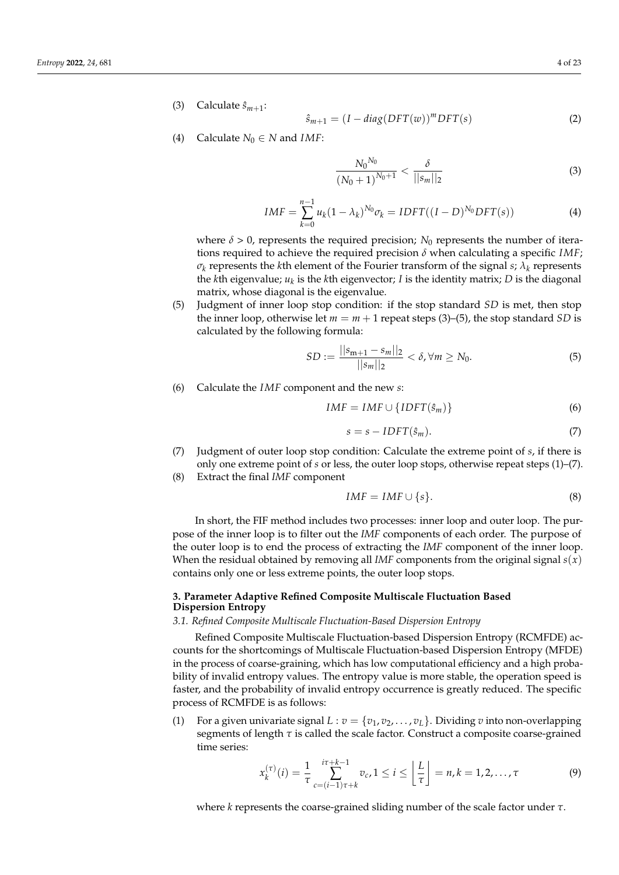(3) Calculate  $\hat{s}_{m+1}$ :

$$
\hat{s}_{m+1} = (I - diag(DFT(w))^m DFT(s)
$$
\n(2)

(4) Calculate  $N_0 \in N$  and *IMF*:

$$
\frac{N_0^{N_0}}{(N_0+1)^{N_0+1}} < \frac{\delta}{||s_m||_2} \tag{3}
$$

$$
IMF = \sum_{k=0}^{n-1} u_k (1 - \lambda_k)^{N_0} \sigma_k = IDFT((I - D)^{N_0} DFT(s))
$$
\n(4)

where  $\delta > 0$ , represents the required precision;  $N_0$  represents the number of iterations required to achieve the required precision  $\delta$  when calculating a specific *IMF*;  $\sigma_k$  represents the *k*th element of the Fourier transform of the signal *s;*  $\lambda_k$  represents the *k*th eigenvalue; *u<sup>k</sup>* is the *k*th eigenvector; *I* is the identity matrix; *D* is the diagonal matrix, whose diagonal is the eigenvalue.

(5) Judgment of inner loop stop condition: if the stop standard *SD* is met, then stop the inner loop, otherwise let  $m = m + 1$  repeat steps (3)–(5), the stop standard *SD* is calculated by the following formula:

$$
SD := \frac{||s_{m+1} - s_m||_2}{||s_m||_2} < \delta, \forall m \ge N_0. \tag{5}
$$

(6) Calculate the *IMF* component and the new *s*:

$$
IMF = IMF \cup \{IDFT(\hat{s}_m)\}\tag{6}
$$

$$
s = s - IDFT(\hat{s}_m). \tag{7}
$$

- (7) Judgment of outer loop stop condition: Calculate the extreme point of *s*, if there is only one extreme point of *s* or less, the outer loop stops, otherwise repeat steps (1)–(7).
- (8) Extract the final *IMF* component

$$
IMF = IMF \cup \{s\}.\tag{8}
$$

In short, the FIF method includes two processes: inner loop and outer loop. The purpose of the inner loop is to filter out the *IMF* components of each order. The purpose of the outer loop is to end the process of extracting the *IMF* component of the inner loop. When the residual obtained by removing all *IMF* components from the original signal *s*(*x*) contains only one or less extreme points, the outer loop stops.

# <span id="page-3-0"></span>**3. Parameter Adaptive Refined Composite Multiscale Fluctuation Based Dispersion Entropy**

# *3.1. Refined Composite Multiscale Fluctuation-Based Dispersion Entropy*

Refined Composite Multiscale Fluctuation-based Dispersion Entropy (RCMFDE) accounts for the shortcomings of Multiscale Fluctuation-based Dispersion Entropy (MFDE) in the process of coarse-graining, which has low computational efficiency and a high probability of invalid entropy values. The entropy value is more stable, the operation speed is faster, and the probability of invalid entropy occurrence is greatly reduced. The specific process of RCMFDE is as follows:

(1) For a given univariate signal  $L : v = \{v_1, v_2, \ldots, v_L\}$ . Dividing *v* into non-overlapping segments of length  $\tau$  is called the scale factor. Construct a composite coarse-grained time series:

$$
x_k^{(\tau)}(i) = \frac{1}{\tau} \sum_{c=(i-1)\tau+k}^{i\tau+k-1} v_c, 1 \le i \le \left\lfloor \frac{L}{\tau} \right\rfloor = n, k = 1, 2, \dots, \tau
$$
 (9)

where *k* represents the coarse-grained sliding number of the scale factor under *τ*.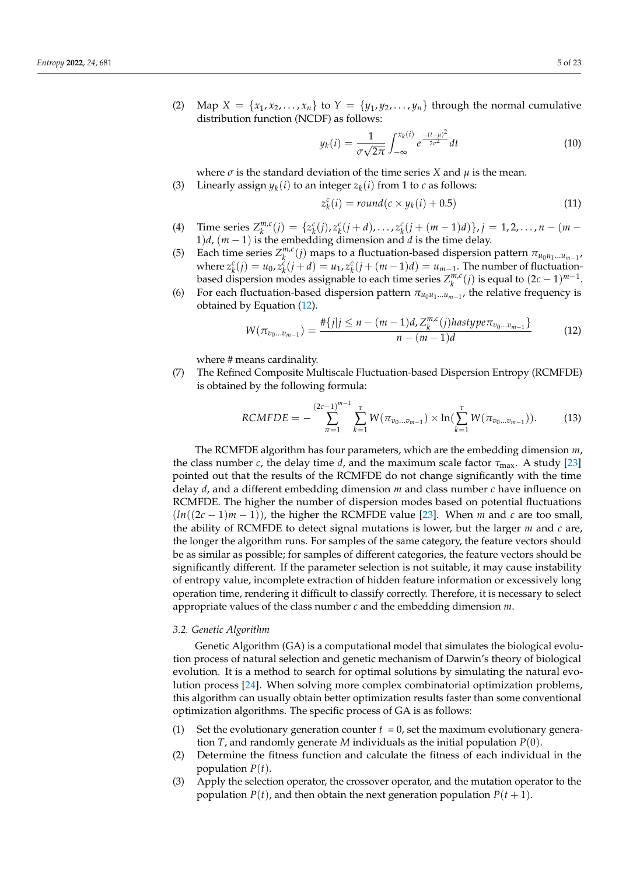(2) Map  $X = \{x_1, x_2, \ldots, x_n\}$  to  $Y = \{y_1, y_2, \ldots, y_n\}$  through the normal cumulative distribution function (NCDF) as follows:

$$
y_k(i) = \frac{1}{\sigma\sqrt{2\pi}} \int_{-\infty}^{x_k(i)} e^{\frac{-(t-\mu)^2}{2\sigma^2}} dt
$$
 (10)

where  $\sigma$  is the standard deviation of the time series *X* and  $\mu$  is the mean.

(3) Linearly assign  $y_k(i)$  to an integer  $z_k(i)$  from 1 to *c* as follows:

$$
z_k^c(i) = round(c \times y_k(i) + 0.5)
$$
\n(11)

- (4) Time series  $Z_k^{m,c}$  $C_{k}^{m,c}(j) = \{z_{k}^{c}(j), z_{k}^{c}(j+d), \ldots, z_{k}^{c}(j+(m-1)d)\}, j = 1, 2, \ldots, n-(m-1)d\}$ 1)*d*, (*m* − 1) is the embedding dimension and *d* is the time delay.
- (5) Each time series  $Z_k^{m,c}$  $\frac{m}{k}$ (*j*) maps to a fluctuation-based dispersion pattern  $π_{u_0u_1...u_{m-1}}$ where  $z_k^c(j) = u_0, z_k^c(j+d) = u_1, z_k^c(j+(m-1)d) = u_{m-1}$ . The number of fluctuationbased dispersion modes assignable to each time series  $Z_k^{m,c}$  $\binom{m}{k}$  *is* equal to  $(2c - 1)^{m-1}$ .
- (6) For each fluctuation-based dispersion pattern  $\pi_{u_0u_1\dots u_{m-1}}$ , the relative frequency is obtained by Equation [\(12\)](#page-4-0).

<span id="page-4-0"></span>
$$
W(\pi_{v_0...v_{m-1}}) = \frac{\# \{j | j \le n - (m-1)d, Z_k^{m,c}(j)hastype\pi_{v_0...v_{m-1}}\}}{n - (m-1)d}
$$
(12)

where # means cardinality.

(7) The Refined Composite Multiscale Fluctuation-based Dispersion Entropy (RCMFDE) is obtained by the following formula:

$$
RCMFDE = -\sum_{\pi=1}^{(2c-1)^{m-1}} \sum_{k=1}^{\tau} W(\pi_{v_0 \dots v_{m-1}}) \times \ln(\sum_{k=1}^{\tau} W(\pi_{v_0 \dots v_{m-1}})).
$$
 (13)

The RCMFDE algorithm has four parameters, which are the embedding dimension *m*, the class number *c*, the delay time *d*, and the maximum scale factor  $\tau_{\text{max}}$ . A study [\[23\]](#page-22-12) pointed out that the results of the RCMFDE do not change significantly with the time delay *d*, and a different embedding dimension *m* and class number *c* have influence on RCMFDE. The higher the number of dispersion modes based on potential fluctuations  $(ln((2c - 1)m - 1))$ , the higher the RCMFDE value [\[23\]](#page-22-12). When *m* and *c* are too small, the ability of RCMFDE to detect signal mutations is lower, but the larger *m* and *c* are, the longer the algorithm runs. For samples of the same category, the feature vectors should be as similar as possible; for samples of different categories, the feature vectors should be significantly different. If the parameter selection is not suitable, it may cause instability of entropy value, incomplete extraction of hidden feature information or excessively long operation time, rendering it difficult to classify correctly. Therefore, it is necessary to select appropriate values of the class number *c* and the embedding dimension *m*.

# *3.2. Genetic Algorithm*

Genetic Algorithm (GA) is a computational model that simulates the biological evolution process of natural selection and genetic mechanism of Darwin's theory of biological evolution. It is a method to search for optimal solutions by simulating the natural evolution process [\[24\]](#page-22-13). When solving more complex combinatorial optimization problems, this algorithm can usually obtain better optimization results faster than some conventional optimization algorithms. The specific process of GA is as follows:

- (1) Set the evolutionary generation counter  $t = 0$ , set the maximum evolutionary generation *T*, and randomly generate *M* individuals as the initial population *P*(0).
- (2) Determine the fitness function and calculate the fitness of each individual in the population *P*(*t*).
- (3) Apply the selection operator, the crossover operator, and the mutation operator to the population  $P(t)$ , and then obtain the next generation population  $P(t + 1)$ .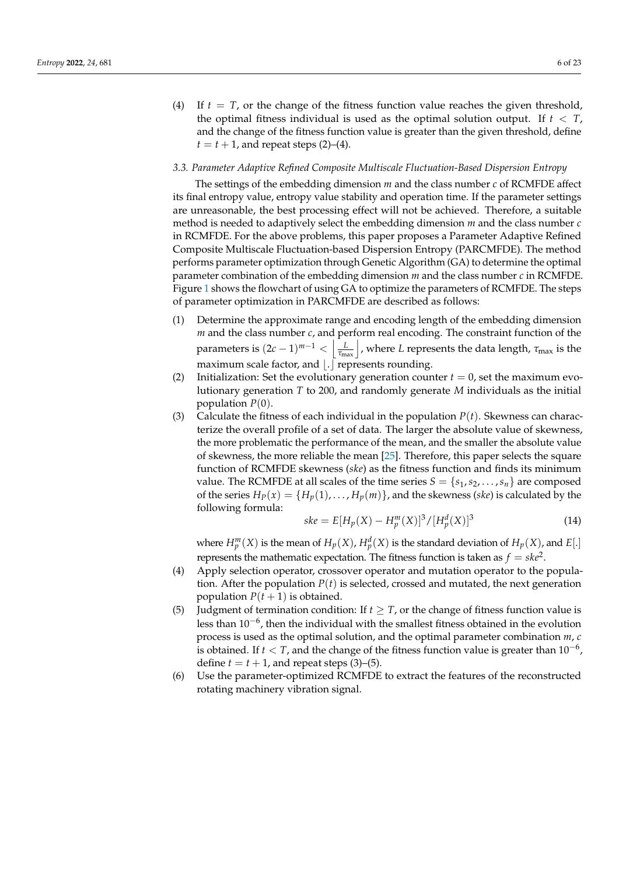(4) If  $t = T$ , or the change of the fitness function value reaches the given threshold, the optimal fitness individual is used as the optimal solution output. If  $t < T$ , and the change of the fitness function value is greater than the given threshold, define  $t = t + 1$ , and repeat steps (2)–(4).

## *3.3. Parameter Adaptive Refined Composite Multiscale Fluctuation-Based Dispersion Entropy*

The settings of the embedding dimension *m* and the class number *c* of RCMFDE affect its final entropy value, entropy value stability and operation time. If the parameter settings are unreasonable, the best processing effect will not be achieved. Therefore, a suitable method is needed to adaptively select the embedding dimension *m* and the class number *c* in RCMFDE. For the above problems, this paper proposes a Parameter Adaptive Refined Composite Multiscale Fluctuation-based Dispersion Entropy (PARCMFDE). The method performs parameter optimization through Genetic Algorithm (GA) to determine the optimal parameter combination of the embedding dimension *m* and the class number *c* in RCMFDE. Figure [1](#page-6-0) shows the flowchart of using GA to optimize the parameters of RCMFDE. The steps of parameter optimization in PARCMFDE are described as follows:

- (1) Determine the approximate range and encoding length of the embedding dimension *m* and the class number *c*, and perform real encoding. The constraint function of the parameters is  $(2c-1)^{m-1} < \left\lfloor \frac{L}{\tau_{\text{max}}} \right\rfloor$ , where *L* represents the data length,  $\tau_{\text{max}}$  is the maximum scale factor, and  $\vert . \vert$  represents rounding.
- (2) Initialization: Set the evolutionary generation counter  $t = 0$ , set the maximum evolutionary generation *T* to 200, and randomly generate *M* individuals as the initial population  $P(0)$ .
- (3) Calculate the fitness of each individual in the population  $P(t)$ . Skewness can characterize the overall profile of a set of data. The larger the absolute value of skewness, the more problematic the performance of the mean, and the smaller the absolute value of skewness, the more reliable the mean [\[25\]](#page-22-14). Therefore, this paper selects the square function of RCMFDE skewness (*ske*) as the fitness function and finds its minimum value. The RCMFDE at all scales of the time series  $S = \{s_1, s_2, \ldots, s_n\}$  are composed of the series  $H_P(x) = {H_p(1), \ldots, H_p(m)}$ , and the skewness (*ske*) is calculated by the following formula:

$$
ske = E[H_p(X) - H_p^m(X)]^3 / [H_p^d(X)]^3
$$
\n(14)

where  $H_p^m(X)$  is the mean of  $H_p(X)$ ,  $H_p^d(X)$  is the standard deviation of  $H_p(X)$ , and  $E[.]$ represents the mathematic expectation. The fitness function is taken as  $f = ske^2$ .

- (4) Apply selection operator, crossover operator and mutation operator to the population. After the population  $P(t)$  is selected, crossed and mutated, the next generation population  $P(t + 1)$  is obtained.
- (5) Judgment of termination condition: If  $t \geq T$ , or the change of fitness function value is less than 10−<sup>6</sup> , then the individual with the smallest fitness obtained in the evolution process is used as the optimal solution, and the optimal parameter combination *m*, *c* is obtained. If *t* < *T*, and the change of the fitness function value is greater than 10−<sup>6</sup> , define  $t = t + 1$ , and repeat steps (3)–(5).
- (6) Use the parameter-optimized RCMFDE to extract the features of the reconstructed rotating machinery vibration signal.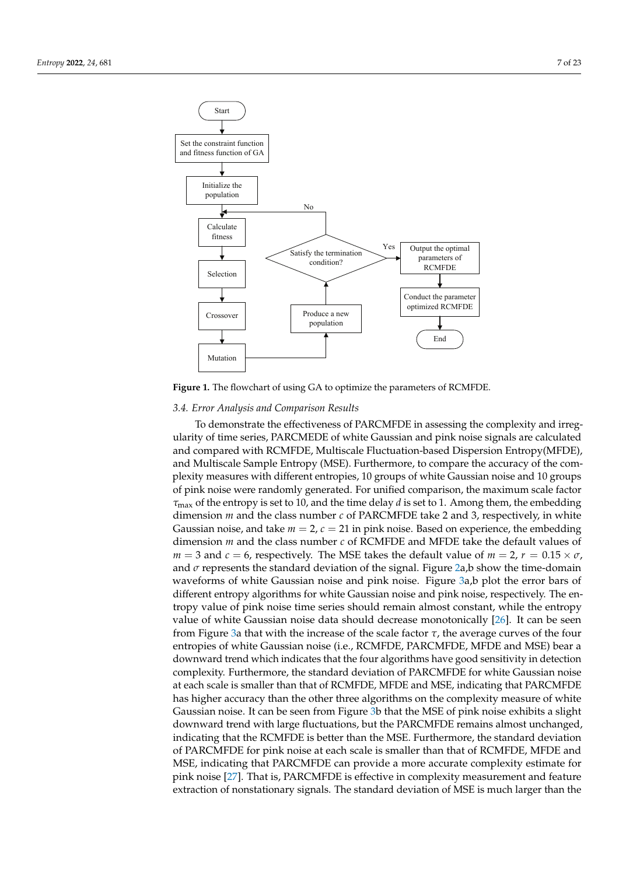<span id="page-6-0"></span>

**Figure 1.** The flowchart of using GA to optimize the parameters of RCMFDE.

# *3.4. Error Analysis and Comparison Results*

To demonstrate the effectiveness of PARCMFDE in assessing the complexity and irregularity of time series, PARCMEDE of white Gaussian and pink noise signals are calculated and compared with RCMFDE, Multiscale Fluctuation-based Dispersion Entropy(MFDE), and Multiscale Sample Entropy (MSE). Furthermore, to compare the accuracy of the complexity measures with different entropies, 10 groups of white Gaussian noise and 10 groups of pink noise were randomly generated. For unified comparison, the maximum scale factor *τ*max of the entropy is set to 10, and the time delay *d* is set to 1. Among them, the embedding dimension *m* and the class number *c* of PARCMFDE take 2 and 3, respectively, in white Gaussian noise, and take  $m = 2$ ,  $c = 21$  in pink noise. Based on experience, the embedding dimension *m* and the class number *c* of RCMFDE and MFDE take the default values of  $m = 3$  and  $c = 6$ , respectively. The MSE takes the default value of  $m = 2$ ,  $r = 0.15 \times \sigma$ , and  $\sigma$  represents the standard deviation of the signal. Figure [2a](#page-7-1),b show the time-domain waveforms of white Gaussian noise and pink noise. Figure [3a](#page-7-2),b plot the error bars of different entropy algorithms for white Gaussian noise and pink noise, respectively. The entropy value of pink noise time series should remain almost constant, while the entropy value of white Gaussian noise data should decrease monotonically [\[26\]](#page-22-15). It can be seen from Figure [3a](#page-7-2) that with the increase of the scale factor *τ*, the average curves of the four entropies of white Gaussian noise (i.e., RCMFDE, PARCMFDE, MFDE and MSE) bear a downward trend which indicates that the four algorithms have good sensitivity in detection complexity. Furthermore, the standard deviation of PARCMFDE for white Gaussian noise at each scale is smaller than that of RCMFDE, MFDE and MSE, indicating that PARCMFDE has higher accuracy than the other three algorithms on the complexity measure of white Gaussian noise. It can be seen from Figure [3b](#page-7-2) that the MSE of pink noise exhibits a slight downward trend with large fluctuations, but the PARCMFDE remains almost unchanged, indicating that the RCMFDE is better than the MSE. Furthermore, the standard deviation of PARCMFDE for pink noise at each scale is smaller than that of RCMFDE, MFDE and MSE, indicating that PARCMFDE can provide a more accurate complexity estimate for pink noise [\[27\]](#page-22-16). That is, PARCMFDE is effective in complexity measurement and feature extraction of nonstationary signals. The standard deviation of MSE is much larger than the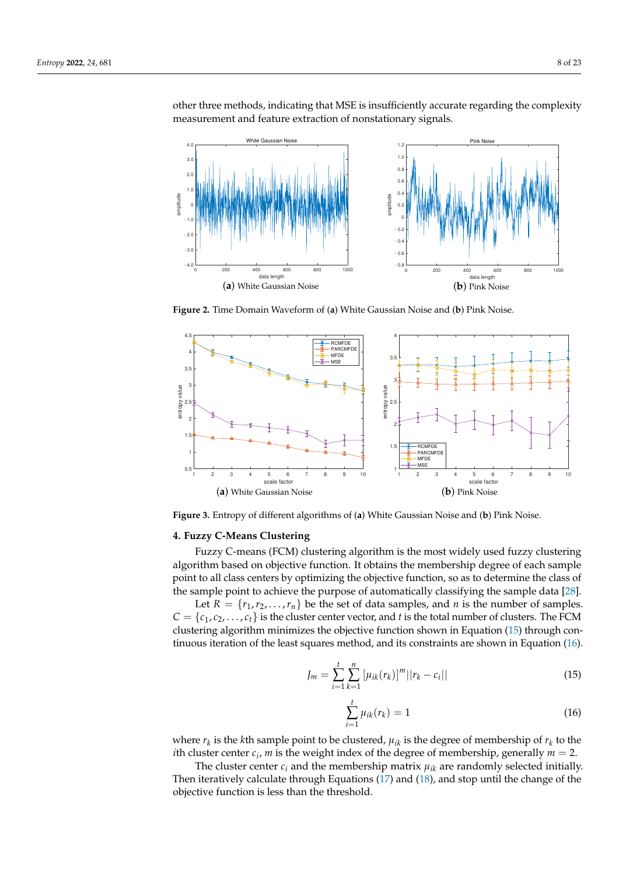<span id="page-7-1"></span>0 200 400 600 800 1000 data length  $-4.0$  $-3.0$  $-2.0$  $- 1.0$ 0 | 1.0  $2.0 \parallel$ 3.0  $4.0<sub>1</sub>$ amplitude White Gaussian Noise (**a**) White Gaussian Noise 0 200 400 600 800 1000 ngth  $-0.8$  - 0.6  $-0.4$  - 0.2 0  $0.2|$  $0.4<sub>1</sub>$ 0.6 0.8 1.0 1.2 amplitude **Pink Nois** (**b**) Pink Noise

other three methods, indicating that MSE is insufficiently accurate regarding the complexity measurement and feature extraction of nonstationary signals.

**Figure 2.** Time Domain Waveform of (**a**) White Gaussian Noise and (**b**) Pink Noise.

<span id="page-7-2"></span>

**Figure 3.** Entropy of different algorithms of (**a**) White Gaussian Noise and (**b**) Pink Noise.

## <span id="page-7-0"></span>**4. Fuzzy C-Means Clustering**

Fuzzy C-means (FCM) clustering algorithm is the most widely used fuzzy clustering algorithm based on objective function. It obtains the membership degree of each sample point to all class centers by optimizing the objective function, so as to determine the class of the sample point to achieve the purpose of automatically classifying the sample data [\[28\]](#page-22-17). Let *R* = { $r_1$ , $r_2$ ,..., $r_n$ } be the set of data samples, and *n* is the number of samples.  $C = \{c_1, c_2, \ldots, c_t\}$  is the cluster center vector, and *t* is the total number of clusters. The FCM clustering algorithm minimizes the objective function shown in Equation [\(15\)](#page-7-3) through continuous iteration of the least squares method, and its constraints are shown in Equation [\(16\)](#page-7-4).

<span id="page-7-3"></span>
$$
J_m = \sum_{i=1}^{t} \sum_{k=1}^{n} \left[ \mu_{ik}(r_k) \right]^m ||r_k - c_i|| \tag{15}
$$

<span id="page-7-4"></span>
$$
\sum_{i=1}^{t} \mu_{ik}(r_k) = 1
$$
\n(16)

where  $r_k$  is the *k*th sample point to be clustered,  $\mu_{ik}$  is the degree of membership of  $r_k$  to the *i*th cluster center  $c_i$ , *m* is the weight index of the degree of membership, generally  $m = 2$ .

The cluster center  $c_i$  and the membership matrix  $\mu_{ik}$  are randomly selected initially. Then iteratively calculate through Equations [\(17\)](#page-8-1) and [\(18\)](#page-8-2), and stop until the change of the objective function is less than the threshold.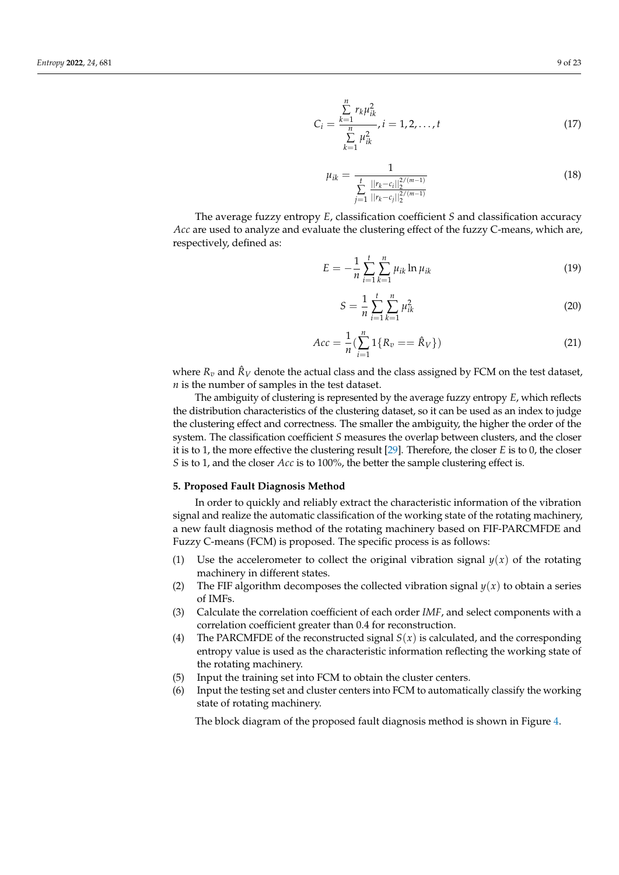<span id="page-8-1"></span>
$$
C_i = \frac{\sum_{k=1}^{n} r_k \mu_{ik}^2}{\sum_{k=1}^{n} \mu_{ik}^2}, i = 1, 2, ..., t
$$
 (17)

<span id="page-8-2"></span>
$$
\mu_{ik} = \frac{1}{\sum_{j=1}^{t} \frac{||r_k - c_i||_2^{2/(m-1)}}{||r_k - c_j||_2^{2/(m-1)}}}
$$
(18)

The average fuzzy entropy *E*, classification coefficient *S* and classification accuracy *Acc* are used to analyze and evaluate the clustering effect of the fuzzy C-means, which are, respectively, defined as:

$$
E = -\frac{1}{n} \sum_{i=1}^{t} \sum_{k=1}^{n} \mu_{ik} \ln \mu_{ik}
$$
 (19)

$$
S = \frac{1}{n} \sum_{i=1}^{t} \sum_{k=1}^{n} \mu_{ik}^{2}
$$
 (20)

$$
Acc = \frac{1}{n} \left( \sum_{i=1}^{n} 1\{R_v == \hat{R}_V\} \right) \tag{21}
$$

where  $R_v$  and  $\hat{R}_V$  denote the actual class and the class assigned by FCM on the test dataset, *n* is the number of samples in the test dataset.

The ambiguity of clustering is represented by the average fuzzy entropy *E*, which reflects the distribution characteristics of the clustering dataset, so it can be used as an index to judge the clustering effect and correctness. The smaller the ambiguity, the higher the order of the system. The classification coefficient *S* measures the overlap between clusters, and the closer it is to 1, the more effective the clustering result [\[29\]](#page-22-18). Therefore, the closer *E* is to 0, the closer *S* is to 1, and the closer *Acc* is to 100%, the better the sample clustering effect is.

## <span id="page-8-0"></span>**5. Proposed Fault Diagnosis Method**

In order to quickly and reliably extract the characteristic information of the vibration signal and realize the automatic classification of the working state of the rotating machinery, a new fault diagnosis method of the rotating machinery based on FIF-PARCMFDE and Fuzzy C-means (FCM) is proposed. The specific process is as follows:

- (1) Use the accelerometer to collect the original vibration signal  $y(x)$  of the rotating machinery in different states.
- (2) The FIF algorithm decomposes the collected vibration signal  $y(x)$  to obtain a series of IMFs.
- (3) Calculate the correlation coefficient of each order *IMF*, and select components with a correlation coefficient greater than 0.4 for reconstruction.
- (4) The PARCMFDE of the reconstructed signal  $S(x)$  is calculated, and the corresponding entropy value is used as the characteristic information reflecting the working state of the rotating machinery.
- (5) Input the training set into FCM to obtain the cluster centers.
- (6) Input the testing set and cluster centers into FCM to automatically classify the working state of rotating machinery.

The block diagram of the proposed fault diagnosis method is shown in Figure [4.](#page-9-1)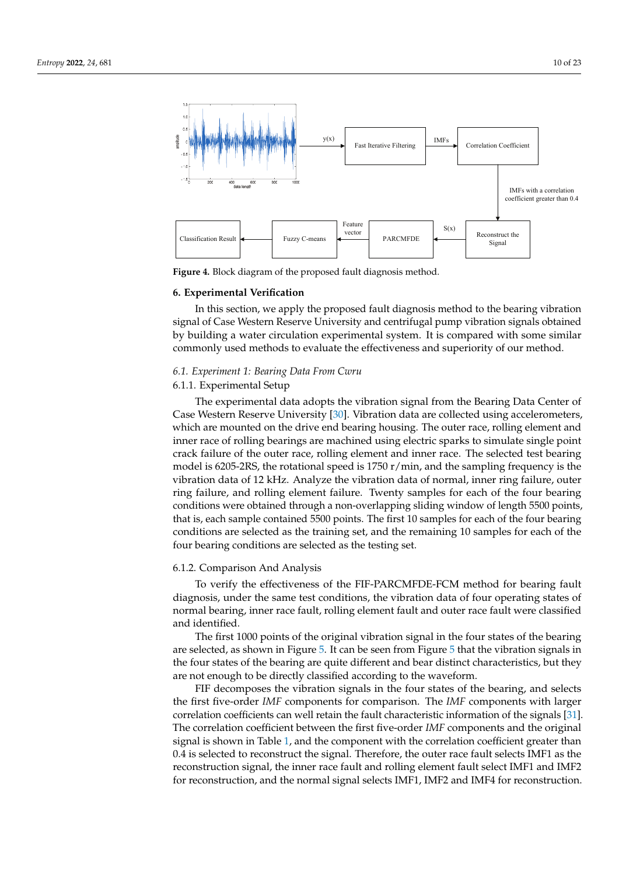<span id="page-9-1"></span>

**Figure 4.** Block diagram of the proposed fault diagnosis method.

#### <span id="page-9-0"></span>**6. Experimental Verification**

In this section, we apply the proposed fault diagnosis method to the bearing vibration signal of Case Western Reserve University and centrifugal pump vibration signals obtained by building a water circulation experimental system. It is compared with some similar commonly used methods to evaluate the effectiveness and superiority of our method.

## *6.1. Experiment 1: Bearing Data From Cwru*

# 6.1.1. Experimental Setup

The experimental data adopts the vibration signal from the Bearing Data Center of Case Western Reserve University [\[30\]](#page-22-19). Vibration data are collected using accelerometers, which are mounted on the drive end bearing housing. The outer race, rolling element and inner race of rolling bearings are machined using electric sparks to simulate single point crack failure of the outer race, rolling element and inner race. The selected test bearing model is 6205-2RS, the rotational speed is 1750 r/min, and the sampling frequency is the vibration data of 12 kHz. Analyze the vibration data of normal, inner ring failure, outer ring failure, and rolling element failure. Twenty samples for each of the four bearing conditions were obtained through a non-overlapping sliding window of length 5500 points, that is, each sample contained 5500 points. The first 10 samples for each of the four bearing conditions are selected as the training set, and the remaining 10 samples for each of the four bearing conditions are selected as the testing set.

## 6.1.2. Comparison And Analysis

To verify the effectiveness of the FIF-PARCMFDE-FCM method for bearing fault diagnosis, under the same test conditions, the vibration data of four operating states of normal bearing, inner race fault, rolling element fault and outer race fault were classified and identified.

The first 1000 points of the original vibration signal in the four states of the bearing are selected, as shown in Figure [5.](#page-10-0) It can be seen from Figure [5](#page-10-0) that the vibration signals in the four states of the bearing are quite different and bear distinct characteristics, but they are not enough to be directly classified according to the waveform.

FIF decomposes the vibration signals in the four states of the bearing, and selects the first five-order *IMF* components for comparison. The *IMF* components with larger correlation coefficients can well retain the fault characteristic information of the signals [\[31\]](#page-22-20). The correlation coefficient between the first five-order *IMF* components and the original signal is shown in Table [1,](#page-10-1) and the component with the correlation coefficient greater than 0.4 is selected to reconstruct the signal. Therefore, the outer race fault selects IMF1 as the reconstruction signal, the inner race fault and rolling element fault select IMF1 and IMF2 for reconstruction, and the normal signal selects IMF1, IMF2 and IMF4 for reconstruction.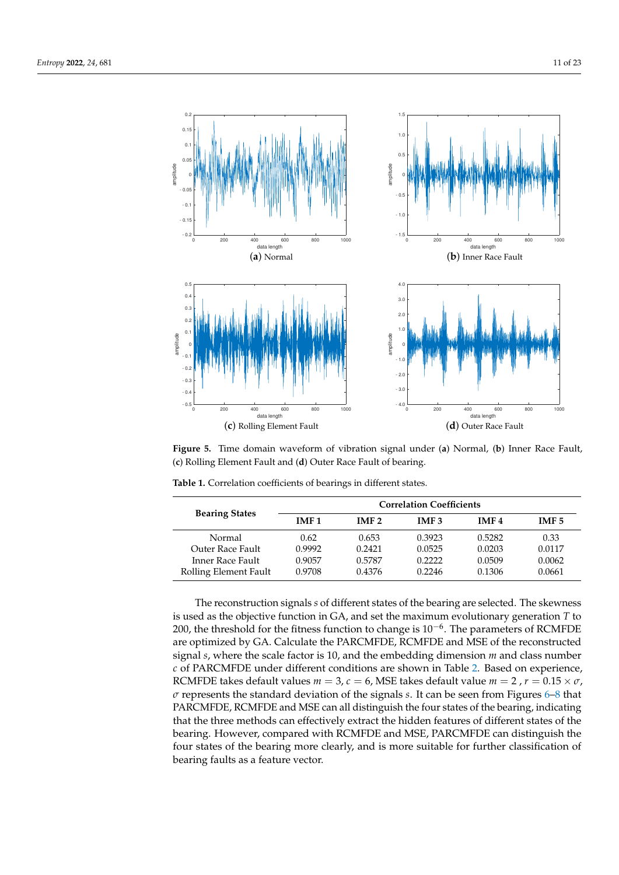<span id="page-10-0"></span>

**Figure 5.** Time domain waveform of vibration signal under (**a**) Normal, (**b**) Inner Race Fault, (**c**) Rolling Element Fault and (**d**) Outer Race Fault of bearing.

|                       | <b>Correlation Coefficients</b> |                  |                  |                  |                  |
|-----------------------|---------------------------------|------------------|------------------|------------------|------------------|
| <b>Bearing States</b> | IMF <sub>1</sub>                | IMF <sub>2</sub> | IMF <sub>3</sub> | IMF <sub>4</sub> | IMF <sub>5</sub> |
| Normal                | 0.62                            | 0.653            | 0.3923           | 0.5282           | 0.33             |
| Outer Race Fault      | 0.9992                          | 0.2421           | 0.0525           | 0.0203           | 0.0117           |
| Inner Race Fault      | 0.9057                          | 0.5787           | 0.2222           | 0.0509           | 0.0062           |
| Rolling Element Fault | 0.9708                          | 0.4376           | 0.2246           | 0.1306           | 0.0661           |

<span id="page-10-1"></span>**Table 1.** Correlation coefficients of bearings in different states.

The reconstruction signals *s* of different states of the bearing are selected. The skewness is used as the objective function in GA, and set the maximum evolutionary generation *T* to 200, the threshold for the fitness function to change is  $10^{-6}$ . The parameters of RCMFDE are optimized by GA. Calculate the PARCMFDE, RCMFDE and MSE of the reconstructed signal *s*, where the scale factor is 10, and the embedding dimension *m* and class number *c* of PARCMFDE under different conditions are shown in Table [2.](#page-11-0) Based on experience, RCMFDE takes default values  $m = 3$ ,  $c = 6$ , MSE takes default value  $m = 2$ ,  $r = 0.15 \times \sigma$ , *σ* represents the standard deviation of the signals *s*. It can be seen from Figures [6–](#page-11-1)[8](#page-12-0) that PARCMFDE, RCMFDE and MSE can all distinguish the four states of the bearing, indicating that the three methods can effectively extract the hidden features of different states of the bearing. However, compared with RCMFDE and MSE, PARCMFDE can distinguish the four states of the bearing more clearly, and is more suitable for further classification of bearing faults as a feature vector.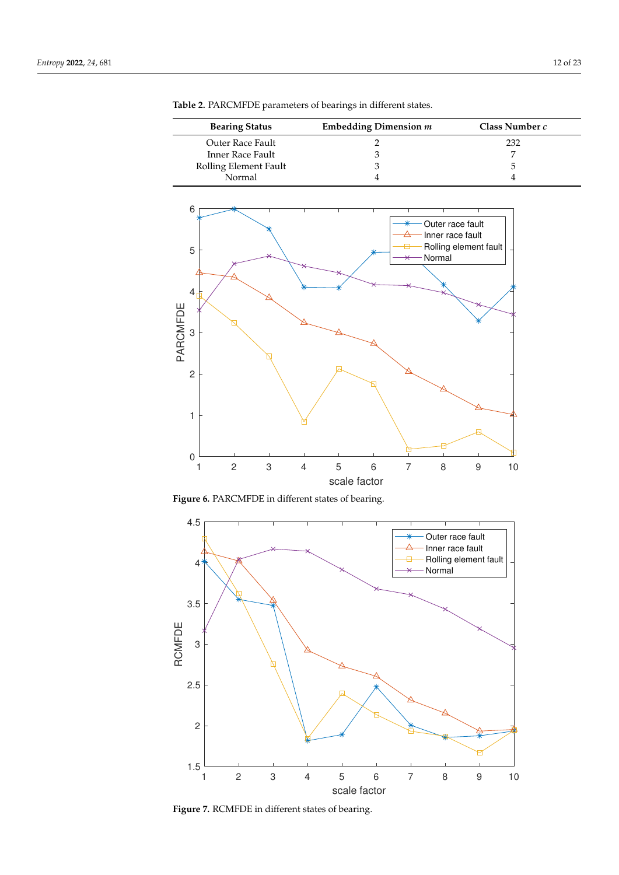$\overline{a}$ 

| <b>Bearing Status</b> | Embedding Dimension $m$ | Class Number c |
|-----------------------|-------------------------|----------------|
| Outer Race Fault      |                         | 232            |
| Inner Race Fault      |                         |                |
| Rolling Element Fault |                         | h              |
| Normal                |                         |                |

<span id="page-11-0"></span>**Table 2.** PARCMFDE parameters of bearings in different states.

<span id="page-11-1"></span>

**Figure 6.** PARCMFDE in different states of bearing.



**Figure 7.** RCMFDE in different states of bearing.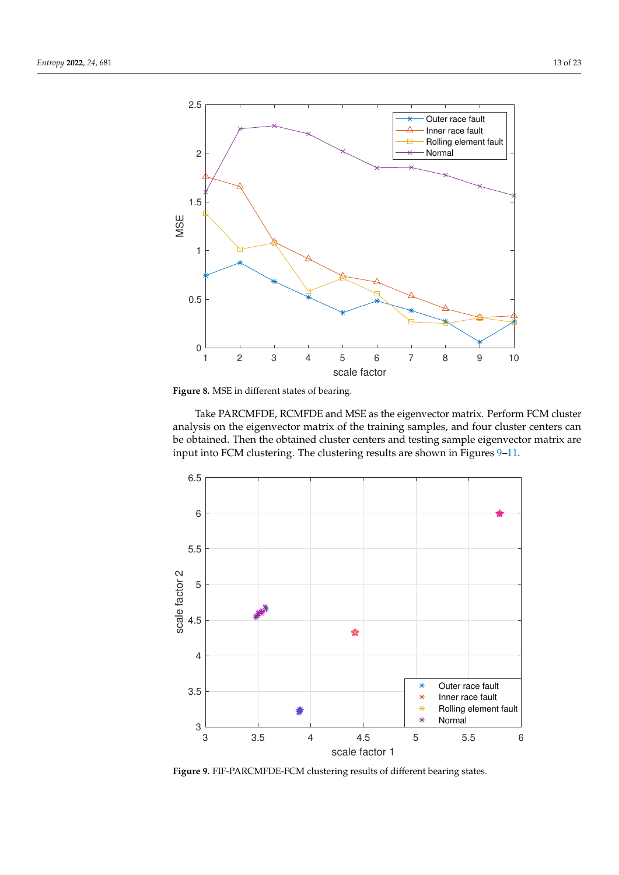<span id="page-12-0"></span>



Take PARCMFDE, RCMFDE and MSE as the eigenvector matrix. Perform FCM cluster analysis on the eigenvector matrix of the training samples, and four cluster centers can be obtained. Then the obtained cluster centers and testing sample eigenvector matrix are input into FCM clustering. The clustering results are shown in Figures [9](#page-12-1)[–11.](#page-13-0)

<span id="page-12-1"></span>

**Figure 9.** FIF-PARCMFDE-FCM clustering results of different bearing states.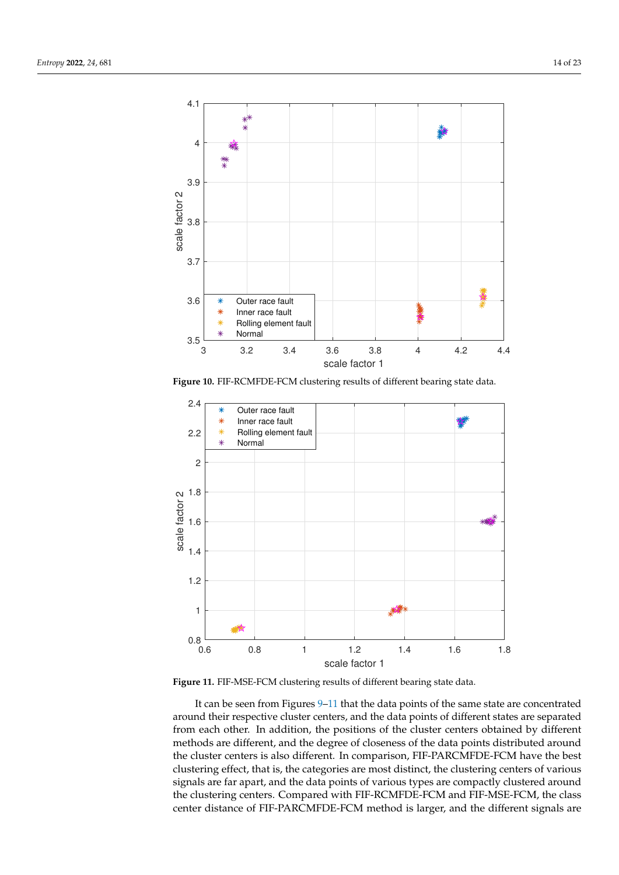

**Figure 10.** FIF-RCMFDE-FCM clustering results of different bearing state data.

<span id="page-13-0"></span>

**Figure 11.** FIF-MSE-FCM clustering results of different bearing state data.

It can be seen from Figures [9](#page-12-1)[–11](#page-13-0) that the data points of the same state are concentrated around their respective cluster centers, and the data points of different states are separated from each other. In addition, the positions of the cluster centers obtained by different methods are different, and the degree of closeness of the data points distributed around the cluster centers is also different. In comparison, FIF-PARCMFDE-FCM have the best clustering effect, that is, the categories are most distinct, the clustering centers of various signals are far apart, and the data points of various types are compactly clustered around the clustering centers. Compared with FIF-RCMFDE-FCM and FIF-MSE-FCM, the class center distance of FIF-PARCMFDE-FCM method is larger, and the different signals are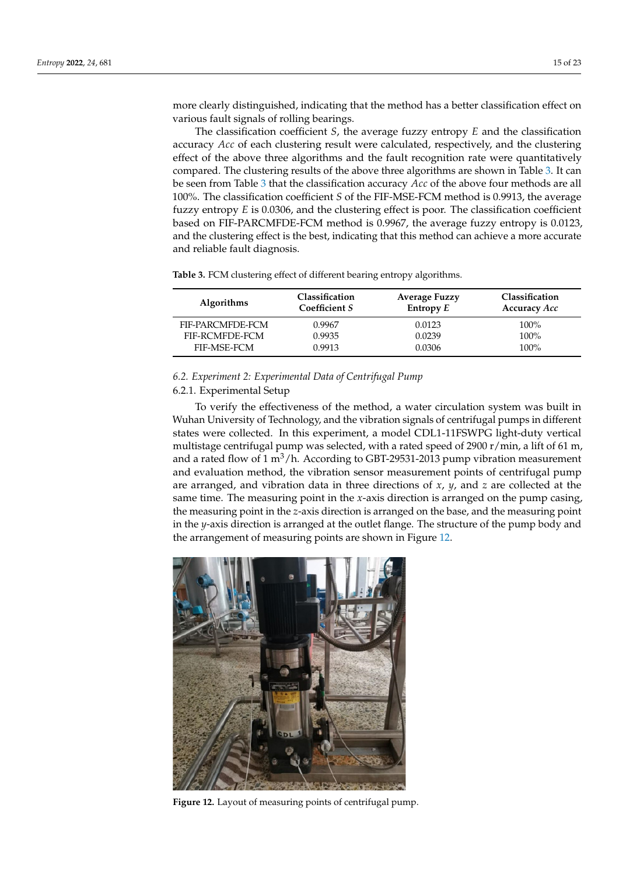more clearly distinguished, indicating that the method has a better classification effect on various fault signals of rolling bearings.

The classification coefficient *S*, the average fuzzy entropy *E* and the classification accuracy *Acc* of each clustering result were calculated, respectively, and the clustering effect of the above three algorithms and the fault recognition rate were quantitatively compared. The clustering results of the above three algorithms are shown in Table [3.](#page-14-0) It can be seen from Table [3](#page-14-0) that the classification accuracy *Acc* of the above four methods are all 100%. The classification coefficient *S* of the FIF-MSE-FCM method is 0.9913, the average fuzzy entropy *E* is 0.0306, and the clustering effect is poor. The classification coefficient based on FIF-PARCMFDE-FCM method is 0.9967, the average fuzzy entropy is 0.0123, and the clustering effect is the best, indicating that this method can achieve a more accurate and reliable fault diagnosis.

**Algorithms Classification Coefficient** *S* **Average Fuzzy Entropy** *E* **Classification Accuracy** *Acc* FIF-PARCMFDE-FCM 0.9967 0.0123 100% FIF-RCMFDE-FCM 0.9935 0.0239 100%<br>FIF-MSE-FCM 0.9913 0.0306 100% FIF-MSE-FCM

<span id="page-14-0"></span>**Table 3.** FCM clustering effect of different bearing entropy algorithms.

## *6.2. Experiment 2: Experimental Data of Centrifugal Pump*

# 6.2.1. Experimental Setup

To verify the effectiveness of the method, a water circulation system was built in Wuhan University of Technology, and the vibration signals of centrifugal pumps in different states were collected. In this experiment, a model CDL1-11FSWPG light-duty vertical multistage centrifugal pump was selected, with a rated speed of 2900 r/min, a lift of 61 m, and a rated flow of 1  $m^3/h$ . According to GBT-29531-2013 pump vibration measurement and evaluation method, the vibration sensor measurement points of centrifugal pump are arranged, and vibration data in three directions of *x*, *y*, and *z* are collected at the same time. The measuring point in the *x*-axis direction is arranged on the pump casing, the measuring point in the *z*-axis direction is arranged on the base, and the measuring point in the *y*-axis direction is arranged at the outlet flange. The structure of the pump body and the arrangement of measuring points are shown in Figure [12.](#page-14-1)

<span id="page-14-1"></span>

**Figure 12.** Layout of measuring points of centrifugal pump.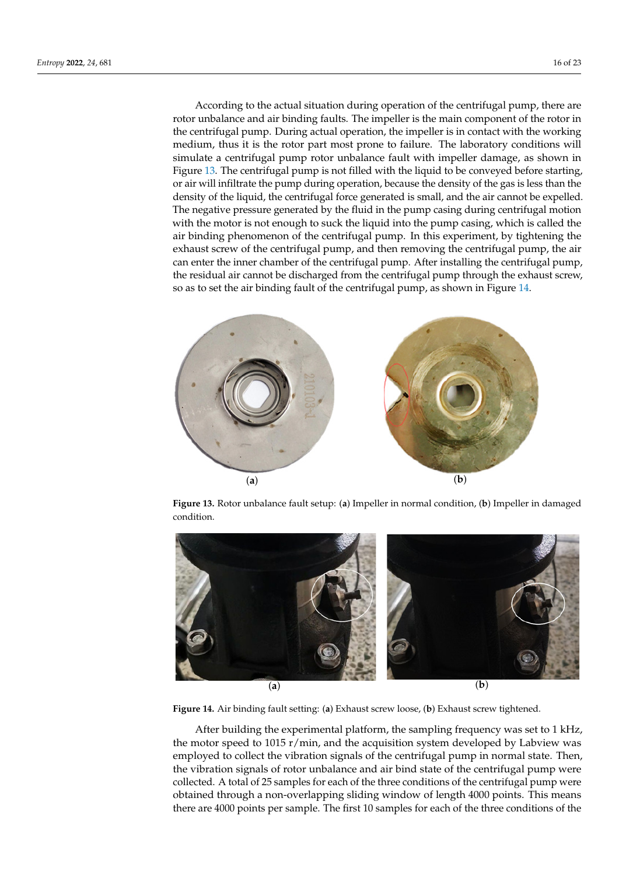According to the actual situation during operation of the centrifugal pump, there are rotor unbalance and air binding faults. The impeller is the main component of the rotor in the centrifugal pump. During actual operation, the impeller is in contact with the working medium, thus it is the rotor part most prone to failure. The laboratory conditions will simulate a centrifugal pump rotor unbalance fault with impeller damage, as shown in Figure [13.](#page-15-0) The centrifugal pump is not filled with the liquid to be conveyed before starting, or air will infiltrate the pump during operation, because the density of the gas is less than the density of the liquid, the centrifugal force generated is small, and the air cannot be expelled. The negative pressure generated by the fluid in the pump casing during centrifugal motion with the motor is not enough to suck the liquid into the pump casing, which is called the air binding phenomenon of the centrifugal pump. In this experiment, by tightening the exhaust screw of the centrifugal pump, and then removing the centrifugal pump, the air can enter the inner chamber of the centrifugal pump. After installing the centrifugal pump, the residual air cannot be discharged from the centrifugal pump through the exhaust screw, so as to set the air binding fault of the centrifugal pump, as shown in Figure [14.](#page-15-1)

<span id="page-15-0"></span>

**Figure 13.** Rotor unbalance fault setup: (**a**) Impeller in normal condition, (**b**) Impeller in damaged condition.

<span id="page-15-1"></span>

**Figure 14.** Air binding fault setting: (**a**) Exhaust screw loose, (**b**) Exhaust screw tightened.

After building the experimental platform, the sampling frequency was set to 1 kHz, the motor speed to 1015 r/min, and the acquisition system developed by Labview was employed to collect the vibration signals of the centrifugal pump in normal state. Then, the vibration signals of rotor unbalance and air bind state of the centrifugal pump were collected. A total of 25 samples for each of the three conditions of the centrifugal pump were obtained through a non-overlapping sliding window of length 4000 points. This means there are 4000 points per sample. The first 10 samples for each of the three conditions of the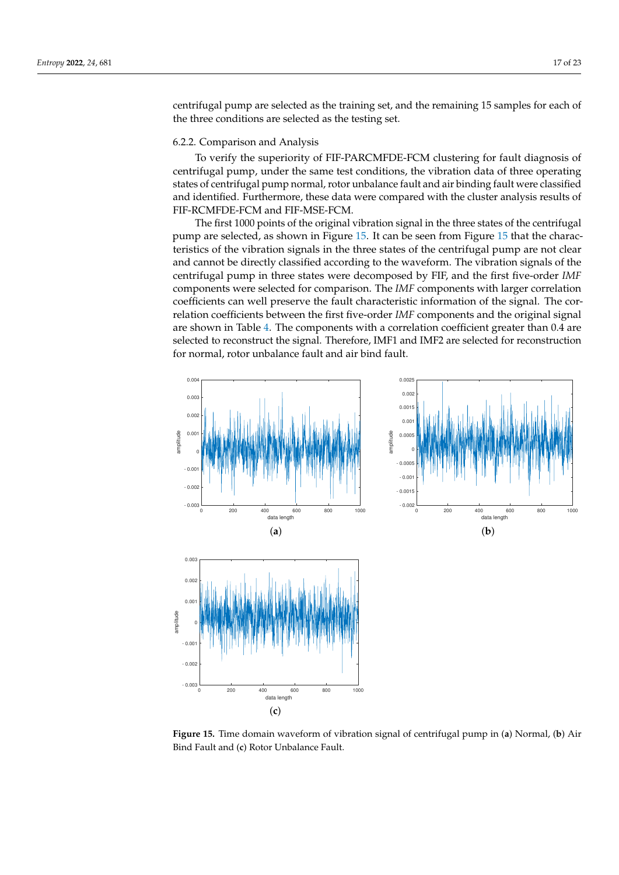centrifugal pump are selected as the training set, and the remaining 15 samples for each of the three conditions are selected as the testing set.

## 6.2.2. Comparison and Analysis

To verify the superiority of FIF-PARCMFDE-FCM clustering for fault diagnosis of centrifugal pump, under the same test conditions, the vibration data of three operating states of centrifugal pump normal, rotor unbalance fault and air binding fault were classified and identified. Furthermore, these data were compared with the cluster analysis results of FIF-RCMFDE-FCM and FIF-MSE-FCM.

The first 1000 points of the original vibration signal in the three states of the centrifugal pump are selected, as shown in Figure [15.](#page-16-0) It can be seen from Figure [15](#page-16-0) that the characteristics of the vibration signals in the three states of the centrifugal pump are not clear and cannot be directly classified according to the waveform. The vibration signals of the centrifugal pump in three states were decomposed by FIF, and the first five-order *IMF* components were selected for comparison. The *IMF* components with larger correlation coefficients can well preserve the fault characteristic information of the signal. The correlation coefficients between the first five-order *IMF* components and the original signal are shown in Table [4.](#page-17-0) The components with a correlation coefficient greater than 0.4 are selected to reconstruct the signal. Therefore, IMF1 and IMF2 are selected for reconstruction for normal, rotor unbalance fault and air bind fault.

<span id="page-16-0"></span>

**Figure 15.** Time domain waveform of vibration signal of centrifugal pump in (**a**) Normal, (**b**) Air Bind Fault and (**c**) Rotor Unbalance Fault.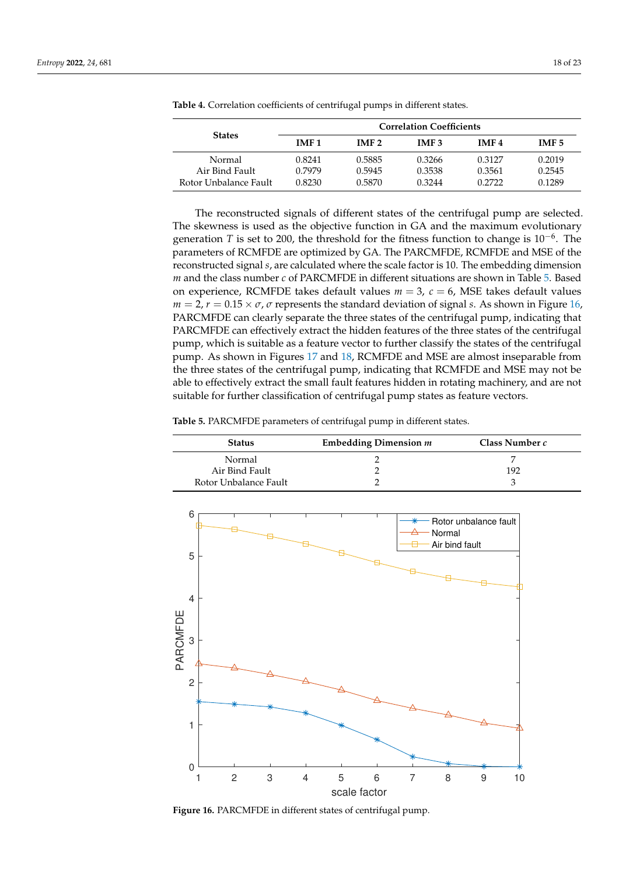|                          | <b>Correlation Coefficients</b> |                  |                  |                  |                  |
|--------------------------|---------------------------------|------------------|------------------|------------------|------------------|
| <b>States</b>            | IMF <sub>1</sub>                | IMF <sub>2</sub> | IMF <sub>3</sub> | IMF <sub>4</sub> | IMF <sub>5</sub> |
| Normal<br>Air Bind Fault | 0.8241<br>0.7979                | 0.5885<br>0.5945 | 0.3266<br>0.3538 | 0.3127<br>0.3561 | 0.2019<br>0.2545 |
| Rotor Unbalance Fault    | 0.8230                          | 0.5870           | 0.3244           | 0.2722           | 0.1289           |

<span id="page-17-0"></span>**Table 4.** Correlation coefficients of centrifugal pumps in different states.

The reconstructed signals of different states of the centrifugal pump are selected. The skewness is used as the objective function in GA and the maximum evolutionary generation *T* is set to 200, the threshold for the fitness function to change is  $10^{-6}$ . The parameters of RCMFDE are optimized by GA. The PARCMFDE, RCMFDE and MSE of the reconstructed signal *s*, are calculated where the scale factor is 10. The embedding dimension *m* and the class number *c* of PARCMFDE in different situations are shown in Table [5.](#page-17-1) Based on experience, RCMFDE takes default values *m* = 3, *c* = 6, MSE takes default values  $m = 2$ ,  $r = 0.15 \times \sigma$ ,  $\sigma$  represents the standard deviation of signal *s*. As shown in Figure [16,](#page-17-2) PARCMFDE can clearly separate the three states of the centrifugal pump, indicating that PARCMFDE can effectively extract the hidden features of the three states of the centrifugal pump, which is suitable as a feature vector to further classify the states of the centrifugal pump. As shown in Figures [17](#page-18-0) and [18,](#page-18-1) RCMFDE and MSE are almost inseparable from the three states of the centrifugal pump, indicating that RCMFDE and MSE may not be able to effectively extract the small fault features hidden in rotating machinery, and are not suitable for further classification of centrifugal pump states as feature vectors.

<span id="page-17-1"></span>**Table 5.** PARCMFDE parameters of centrifugal pump in different states.

| <b>Status</b>         | Embedding Dimension $m$ | Class Number c |
|-----------------------|-------------------------|----------------|
| Normal                |                         |                |
| Air Bind Fault        |                         | 192            |
| Rotor Unbalance Fault |                         |                |

<span id="page-17-2"></span>

**Figure 16.** PARCMFDE in different states of centrifugal pump.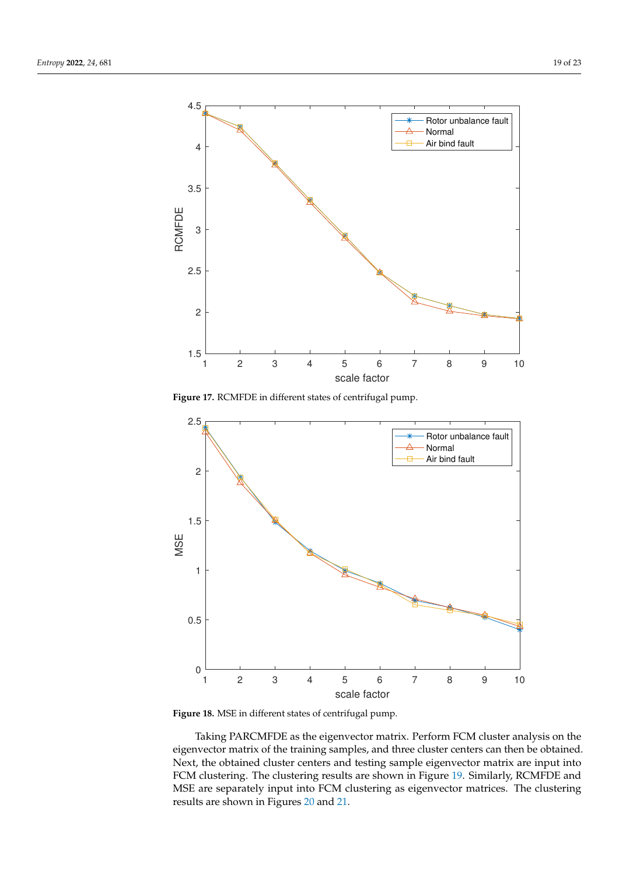<span id="page-18-0"></span>

**Figure 17.** RCMFDE in different states of centrifugal pump.

<span id="page-18-1"></span>

**Figure 18.** MSE in different states of centrifugal pump.

Taking PARCMFDE as the eigenvector matrix. Perform FCM cluster analysis on the eigenvector matrix of the training samples, and three cluster centers can then be obtained. Next, the obtained cluster centers and testing sample eigenvector matrix are input into FCM clustering. The clustering results are shown in Figure [19.](#page-19-0) Similarly, RCMFDE and MSE are separately input into FCM clustering as eigenvector matrices. The clustering results are shown in Figures [20](#page-19-1) and [21.](#page-20-0)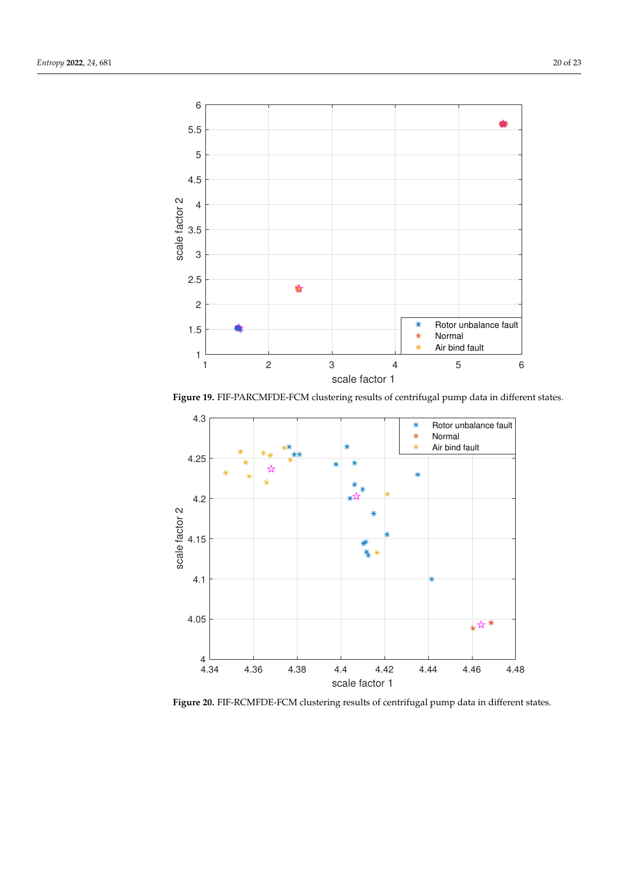<span id="page-19-0"></span>

**Figure 19.** FIF-PARCMFDE-FCM clustering results of centrifugal pump data in different states.

<span id="page-19-1"></span>

**Figure 20.** FIF-RCMFDE-FCM clustering results of centrifugal pump data in different states.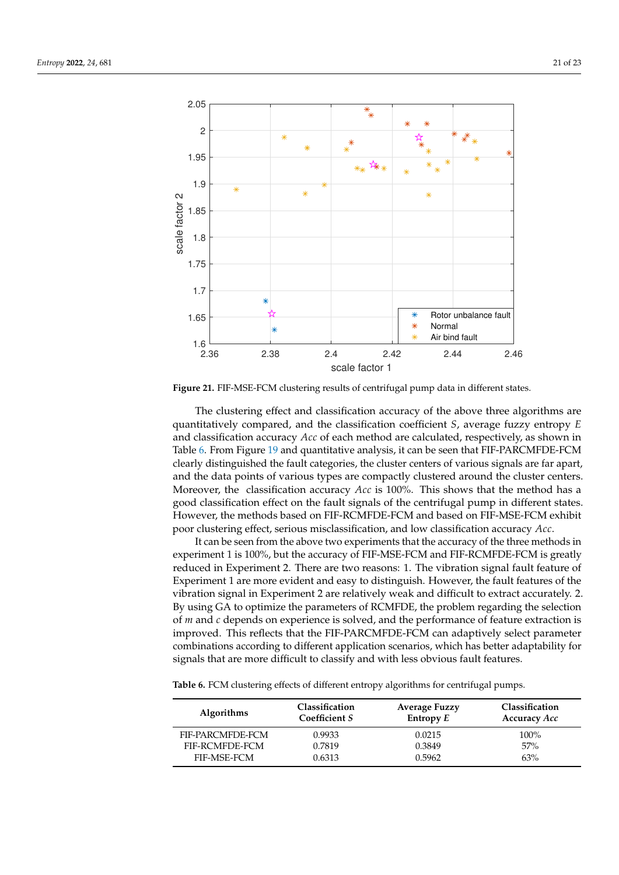<span id="page-20-0"></span>

**Figure 21.** FIF-MSE-FCM clustering results of centrifugal pump data in different states.

The clustering effect and classification accuracy of the above three algorithms are quantitatively compared, and the classification coefficient *S*, average fuzzy entropy *E* and classification accuracy *Acc* of each method are calculated, respectively, as shown in Table [6.](#page-20-1) From Figure [19](#page-19-0) and quantitative analysis, it can be seen that FIF-PARCMFDE-FCM clearly distinguished the fault categories, the cluster centers of various signals are far apart, and the data points of various types are compactly clustered around the cluster centers. Moreover, the classification accuracy *Acc* is 100%. This shows that the method has a good classification effect on the fault signals of the centrifugal pump in different states. However, the methods based on FIF-RCMFDE-FCM and based on FIF-MSE-FCM exhibit poor clustering effect, serious misclassification, and low classification accuracy *Acc*.

It can be seen from the above two experiments that the accuracy of the three methods in experiment 1 is 100%, but the accuracy of FIF-MSE-FCM and FIF-RCMFDE-FCM is greatly reduced in Experiment 2. There are two reasons: 1. The vibration signal fault feature of Experiment 1 are more evident and easy to distinguish. However, the fault features of the vibration signal in Experiment 2 are relatively weak and difficult to extract accurately. 2. By using GA to optimize the parameters of RCMFDE, the problem regarding the selection of *m* and *c* depends on experience is solved, and the performance of feature extraction is improved. This reflects that the FIF-PARCMFDE-FCM can adaptively select parameter combinations according to different application scenarios, which has better adaptability for signals that are more difficult to classify and with less obvious fault features.

<span id="page-20-1"></span>**Table 6.** FCM clustering effects of different entropy algorithms for centrifugal pumps.

| <b>Algorithms</b> | Classification<br>Coefficient S | <b>Average Fuzzy</b><br>Entropy $E$ | Classification<br>Accuracy Acc |
|-------------------|---------------------------------|-------------------------------------|--------------------------------|
| FIF-PARCMFDE-FCM  | 0.9933                          | 0.0215                              | $100\%$                        |
| FIF-RCMFDE-FCM    | 0.7819                          | 0.3849                              | 57%                            |
| FIF-MSE-FCM       | 0.6313                          | 0.5962                              | 63%                            |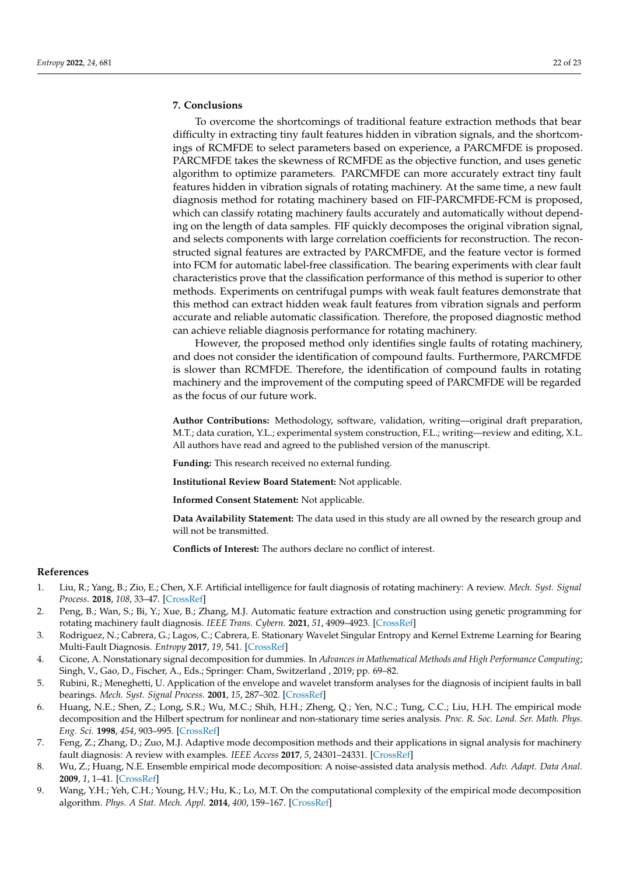# <span id="page-21-9"></span>**7. Conclusions**

To overcome the shortcomings of traditional feature extraction methods that bear difficulty in extracting tiny fault features hidden in vibration signals, and the shortcomings of RCMFDE to select parameters based on experience, a PARCMFDE is proposed. PARCMFDE takes the skewness of RCMFDE as the objective function, and uses genetic algorithm to optimize parameters. PARCMFDE can more accurately extract tiny fault features hidden in vibration signals of rotating machinery. At the same time, a new fault diagnosis method for rotating machinery based on FIF-PARCMFDE-FCM is proposed, which can classify rotating machinery faults accurately and automatically without depending on the length of data samples. FIF quickly decomposes the original vibration signal, and selects components with large correlation coefficients for reconstruction. The reconstructed signal features are extracted by PARCMFDE, and the feature vector is formed into FCM for automatic label-free classification. The bearing experiments with clear fault characteristics prove that the classification performance of this method is superior to other methods. Experiments on centrifugal pumps with weak fault features demonstrate that this method can extract hidden weak fault features from vibration signals and perform accurate and reliable automatic classification. Therefore, the proposed diagnostic method can achieve reliable diagnosis performance for rotating machinery.

However, the proposed method only identifies single faults of rotating machinery, and does not consider the identification of compound faults. Furthermore, PARCMFDE is slower than RCMFDE. Therefore, the identification of compound faults in rotating machinery and the improvement of the computing speed of PARCMFDE will be regarded as the focus of our future work.

**Author Contributions:** Methodology, software, validation, writing—original draft preparation, M.T.; data curation, Y.L.; experimental system construction, F.L.; writing—review and editing, X.L. All authors have read and agreed to the published version of the manuscript.

**Funding:** This research received no external funding.

**Institutional Review Board Statement:** Not applicable.

**Informed Consent Statement:** Not applicable.

**Data Availability Statement:** The data used in this study are all owned by the research group and will not be transmitted.

**Conflicts of Interest:** The authors declare no conflict of interest.

# **References**

- <span id="page-21-0"></span>1. Liu, R.; Yang, B.; Zio, E.; Chen, X.F. Artificial intelligence for fault diagnosis of rotating machinery: A review. *Mech. Syst. Signal Process.* **2018**, *108*, 33–47. [\[CrossRef\]](http://doi.org/10.1016/j.ymssp.2018.02.016)
- <span id="page-21-1"></span>2. Peng, B.; Wan, S.; Bi, Y.; Xue, B.; Zhang, M.J. Automatic feature extraction and construction using genetic programming for rotating machinery fault diagnosis. *IEEE Trans. Cybern.* **2021**, *51*, 4909–4923. [\[CrossRef\]](http://dx.doi.org/10.1109/TCYB.2020.3032945)
- <span id="page-21-2"></span>3. Rodriguez, N.; Cabrera, G.; Lagos, C.; Cabrera, E. Stationary Wavelet Singular Entropy and Kernel Extreme Learning for Bearing Multi-Fault Diagnosis. *Entropy* **2017**, *19*, 541. [\[CrossRef\]](http://dx.doi.org/10.3390/e19100541)
- <span id="page-21-3"></span>4. Cicone, A. Nonstationary signal decomposition for dummies. In *Advances in Mathematical Methods and High Performance Computing*; Singh, V., Gao, D., Fischer, A., Eds.; Springer: Cham, Switzerland , 2019; pp. 69–82.
- <span id="page-21-4"></span>5. Rubini, R.; Meneghetti, U. Application of the envelope and wavelet transform analyses for the diagnosis of incipient faults in ball bearings. *Mech. Syst. Signal Process.* **2001**, *15*, 287–302. [\[CrossRef\]](http://dx.doi.org/10.1006/mssp.2000.1330)
- <span id="page-21-5"></span>6. Huang, N.E.; Shen, Z.; Long, S.R.; Wu, M.C.; Shih, H.H.; Zheng, Q.; Yen, N.C.; Tung, C.C.; Liu, H.H. The empirical mode decomposition and the Hilbert spectrum for nonlinear and non-stationary time series analysis. *Proc. R. Soc. Lond. Ser. Math. Phys. Eng. Sci.* **1998**, *454*, 903–995. [\[CrossRef\]](http://dx.doi.org/10.1098/rspa.1998.0193)
- <span id="page-21-6"></span>7. Feng, Z.; Zhang, D.; Zuo, M.J. Adaptive mode decomposition methods and their applications in signal analysis for machinery fault diagnosis: A review with examples. *IEEE Access* **2017**, *5*, 24301–24331. [\[CrossRef\]](http://dx.doi.org/10.1109/ACCESS.2017.2766232)
- <span id="page-21-7"></span>8. Wu, Z.; Huang, N.E. Ensemble empirical mode decomposition: A noise-assisted data analysis method. *Adv. Adapt. Data Anal.* **2009**, *1*, 1–41. [\[CrossRef\]](http://dx.doi.org/10.1142/S1793536909000047)
- <span id="page-21-8"></span>9. Wang, Y.H.; Yeh, C.H.; Young, H.V.; Hu, K.; Lo, M.T. On the computational complexity of the empirical mode decomposition algorithm. *Phys. A Stat. Mech. Appl.* **2014**, *400*, 159–167. [\[CrossRef\]](http://dx.doi.org/10.1016/j.physa.2014.01.020)